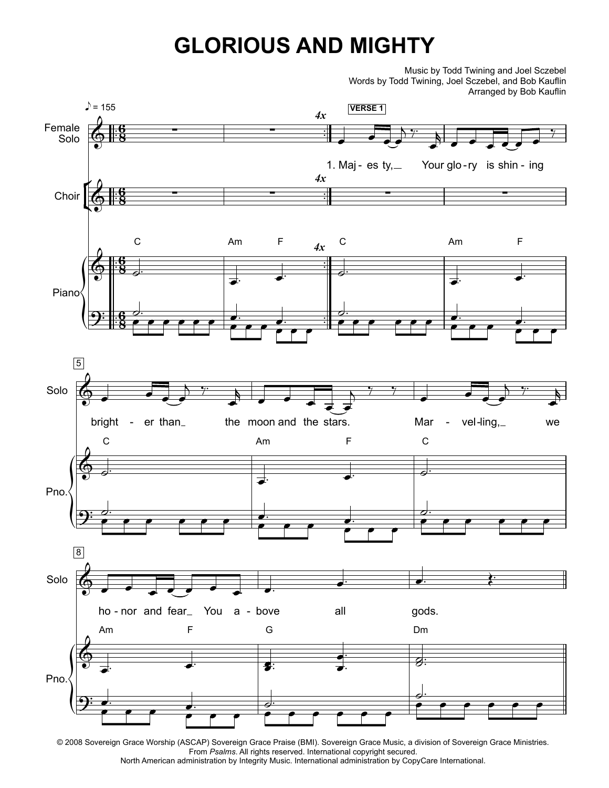## **GLORIOUS AND MIGHTY**

 Music by Todd Twining and Joel Sczebel Words by Todd Twining, Joel Sczebel, and Bob Kauflin Arranged by Bob Kauflin



<sup>© 2008</sup> Sovereign Grace Worship (ASCAP) Sovereign Grace Praise (BMI). Sovereign Grace Music, a division of Sovereign Grace Ministries. From *Psalms*. All rights reserved. International copyright secured. North American administration by Integrity Music. International administration by CopyCare International.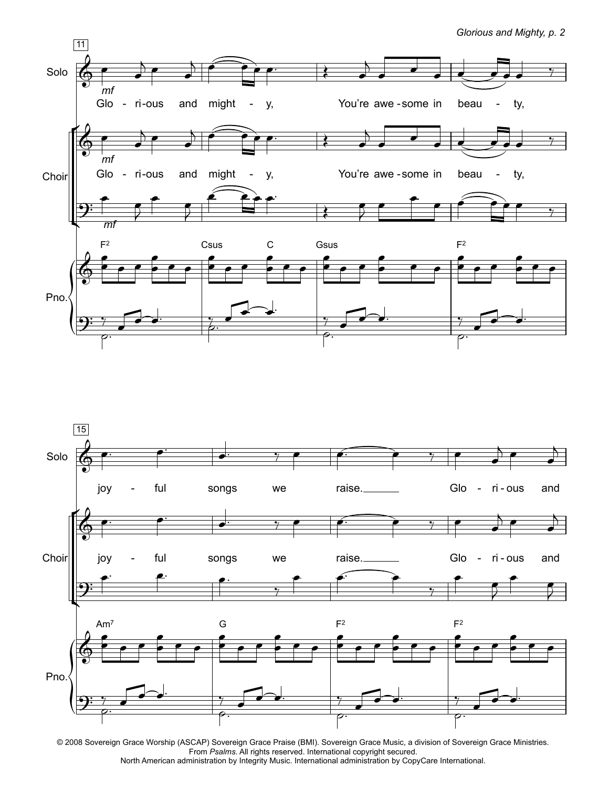*Glorious and Mighty, p. 2*



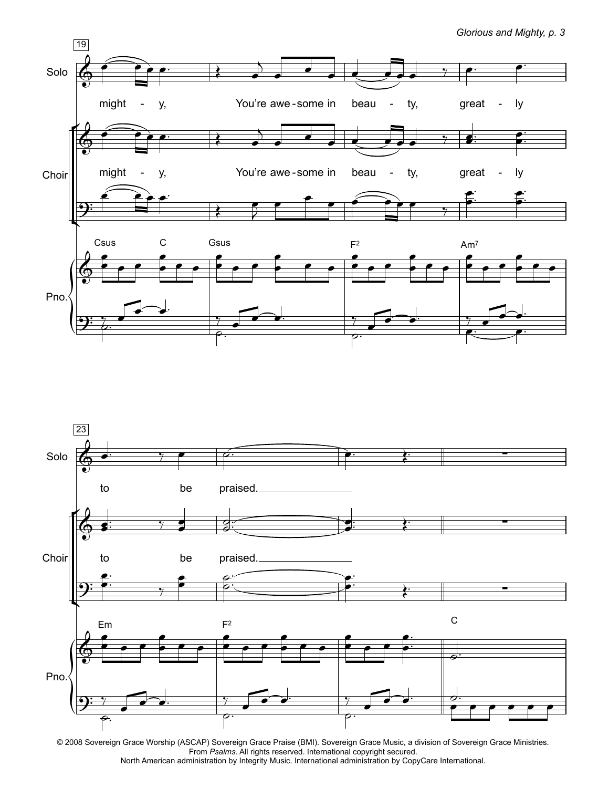*Glorious and Mighty, p. 3*



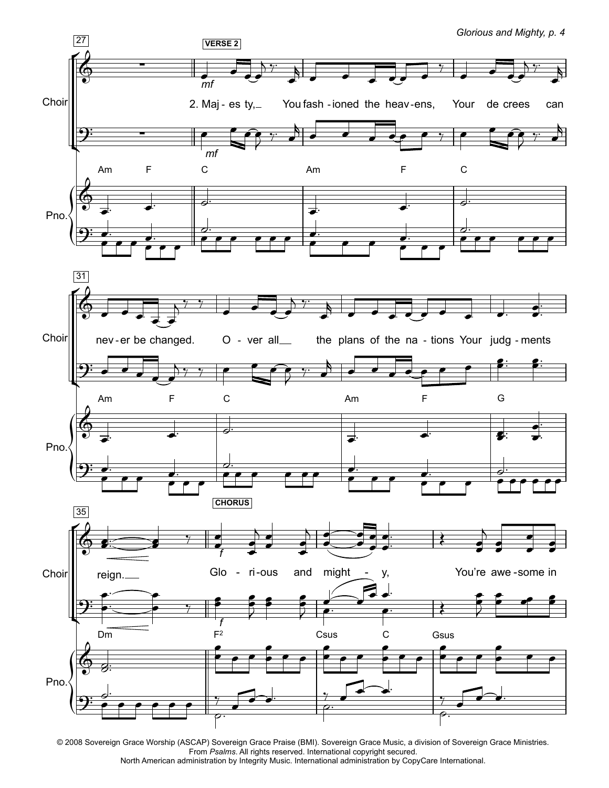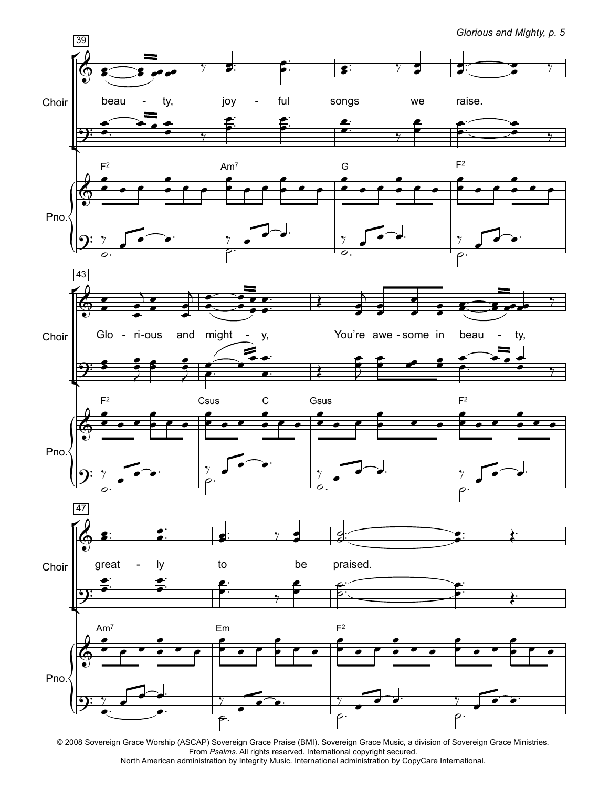<sup>39</sup> *Glorious and Mighty, p. 5* beau  $\overline{\bullet}$  $\overline{\bullet}$ ty,  $\bullet$  $\overline{\phantom{a}}$ -  $\frac{1}{7}$ joy  $\bullet$  $\overline{\bullet}$ :  $\frac{1}{1}$ ful  $\overline{\bullet}$  $\bullet$  $\frac{1}{\cdot}$  $\frac{1}{1}$ songs <u>s</u>  $\frac{1}{2}$  $\frac{1}{2}$ we  $\bullet$  $\frac{1}{2}$ raise.  $\bullet$ <u>d:</u>  $\sum$  $\frac{1}{2}$  $\frac{1}{\sqrt{2}}$  $\begin{array}{ccc} \begin{array}{ccc} \text{ } & \text{ } & \end{array} \end{array}$  $\overset{\bullet}{\bullet} \quad \frac{\bullet}{\gamma}$  $\overline{\phantom{a}}$  $\frac{1}{\bullet}$  $\cdot$  $\frac{1}{\sqrt{2}}$  $\frac{1}{\bullet}$  $\cdot$  $\frac{1}{\sqrt{2}}$  $\frac{2}{\epsilon}$  $\ddot{\phantom{0}}$  $\frac{1}{\sqrt{2}}$  $\bullet$  $\bullet$  $\overline{\phantom{a}}$  $\frac{1}{\epsilon}$  $\ddot{\cdot}$  $\begin{array}{c} \begin{array}{c} \begin{array}{c} \end{array}\\ \begin{array}{c} \end{array} \end{array}$  $\bullet$   $\bullet$  $F<sup>2</sup>$  $\overline{\phantom{a}}$  $\overset{\bullet}{\bullet}$   $\overset{\bullet}{\bullet}$ Am<sup>7</sup><br>——  $\overline{\phantom{a}}$  $\overset{\bullet}{\bullet}$   $\overset{\bullet}{\bullet}$  $\overset{\bullet}{\bullet}$   $\overset{\bullet}{\bullet}$ G<br>P  $\overline{\phantom{a}}$  $\overset{\bullet}{\bullet}$   $\overset{\bullet}{\bullet}$  $\overset{\bullet}{\bullet}$   $\overset{\bullet}{\bullet}$  $F<sup>2</sup>$  $\overline{\phantom{a}}$  $\overset{\bullet}{\bullet}$   $\overset{\bullet}{\bullet}$  $\overline{\phantom{a}}$  $\overset{\bullet}{\bullet}$   $\overset{\bullet}{\bullet}$  $\overline{\phantom{a}}$  $\overset{\bullet}{\bullet}$   $\overset{\bullet}{\bullet}$  $\overline{\rho}.$  $\frac{1}{\sqrt{2}}$  $\frac{1}{\sqrt{1-\frac{1}{\sqrt{1-\frac{1}{\sqrt{1-\frac{1}{\sqrt{1-\frac{1}{\sqrt{1-\frac{1}{\sqrt{1-\frac{1}{\sqrt{1-\frac{1}{\sqrt{1-\frac{1}{\sqrt{1-\frac{1}{\sqrt{1-\frac{1}{\sqrt{1-\frac{1}{\sqrt{1-\frac{1}{\sqrt{1-\frac{1}{\sqrt{1-\frac{1}{\sqrt{1-\frac{1}{\sqrt{1-\frac{1}{\sqrt{1-\frac{1}{\sqrt{1-\frac{1}{\sqrt{1-\frac{1}{\sqrt{1-\frac{1}{\sqrt{1-\frac{1}{\sqrt{1-\frac{1}{\sqrt{1-\frac{1}{\sqrt{1-\frac{1$  $\frac{1}{2}$  $\frac{1}{2}$  $\frac{1}{\rho}$ .  $\overline{y}$  $\begin{array}{c|c}\n\hline\n\end{array}$  $\frac{1}{\sqrt{2}}$  $\overline{\phantom{a}}$ Glo  $\bullet$  $\overline{\bullet}$ - ri-ous  $\bullet$  $\frac{1}{\bullet}$  $\overline{B}$  $\bullet$  $\overline{\phantom{a}}$ and might  $\frac{1}{\epsilon}$  $\frac{1}{\bullet}$  $\overline{b}$  $\bullet$  $\frac{1}{\P}$ y,  $\bullet$ ┪  $\overline{\bullet}$  $\overline{\phantom{a}}$  $\overline{\phantom{a}}$  $\frac{1}{\bullet}$  $\frac{1}{1}$ -  $\overline{\bullet}$ You're awe - some in beau  $\bullet$  $\overline{\phantom{a}}$  $\overline{A}$  $\bullet$  $\overline{\bullet}$  $\overline{\phantom{0}}$  $\overline{\phantom{0}}$  $\bullet$  $\overline{\phantom{a}}$  $\overline{\bullet}$ ty,  $\bullet$  $\overline{\mathbf{z}}$  ,  $\overline{\mathbf{z}}$ -  $\frac{1}{\gamma}$  $9:5$ L  $\frac{2}{3}$ ₹  $\epsilon$ e  $\epsilon$  $\bar{z}$  $\overline{\phantom{a}}$  $\begin{array}{c} \begin{array}{c} \hline \text{ } \\ \hline \text{ } \\ \hline \end{array} \\ \begin{array}{c} \hline \text{ } \\ \hline \end{array} \end{array}$  $\frac{1}{\sqrt{2}}$  $\frac{1}{2}$  $\bullet$ ₹  $\overline{\phantom{a}}$  $\frac{1}{2}$   $\frac{1}{2}$ <u>J</u>  $\frac{1}{1}$  $\overset{\bullet}{\longrightarrow}$  $F<sup>2</sup>$  $\blacktriangleright$  $\frac{1}{\cdot}$   $\cdot$   $\cdot$ Csus<br>□  $\overline{\phantom{a}}$  $\overset{\bullet}{\bullet}$   $\overset{\bullet}{\bullet}$ C<br>●  $\overset{\bullet}{\bullet}$   $\overset{\bullet}{\bullet}$ Gsus<br>⊓ <del>f</del>  $\overset{\bullet}{\bullet}$   $\overset{\bullet}{\bullet}$  $\frac{1}{\epsilon}$  $F<sup>2</sup>$ ℯ  $\overset{\bullet}{\bullet}$   $\overset{\bullet}{\bullet}$   $\overset{\bullet}{\bullet}$ י<br>ן  $\overset{\bullet}{\bullet}$   $\overset{\bullet}{\bullet}$  $\overline{\phantom{a}}$  $\overset{\bullet}{\bullet}$   $\overset{\bullet}{\bullet}$  $\overline{\rho}.$  $\frac{1}{\sqrt{2}}$  $\frac{1}{\sqrt{2}}$ .  $\frac{1}{\sqrt{2}}$  $1 - 1$  $\frac{1}{\rho}$ .  $\overline{y}$  $\begin{array}{c|c}\n\hline\n\end{array}$  ,  $\begin{array}{c}\n\hline\n\end{array}$  ,  $\begin{array}{c}\n\hline\n\end{array}$  ,  $\begin{array}{c}\n\hline\n\end{array}$  $\frac{1}{\sqrt{2}}$  $\overline{\phantom{a}}$ great  $\bullet$  $\overline{\bullet}$ :  $\frac{1}{1}$ ly  $\overline{\phantom{a}}$  $\frac{1}{\rho}$  $\frac{1}{\cdot}$  $\frac{1}{1}$ - to  $\frac{1}{2}$  $\frac{1}{2}$ be  $\bullet$  $\frac{1}{2}$ praised.  $\frac{d}{d}$  $\frac{1}{2}$  $\sim$  $\frac{1}{2}$  $\vdots$ P .<br>:  $\frac{1}{2}$  $\ddot{\phantom{0}}$  $\cdot$  $\overline{\phantom{a}}$  $\ddot{\phantom{0}}$  $\cdot$ 

**Choir** 

 $\mathsf{K}$ 

 $\Phi$ 

<u> 9:</u>

 $\Phi$ 

 $\overline{\mathbf{P}}$ 

Ľ

 $\sum_{i=1}^{n}$ 

43

 $\Phi$ 

 $\mathsf{f}$ 

Ľ

 $\Phi$ 

 $\sum_{i=1}^{n}$ 

 $\sqrt{47}$ 

 $\Phi$ 

 $\mathsf{f}$ 

Pno.

**Choir** 

Pno.

Choir



e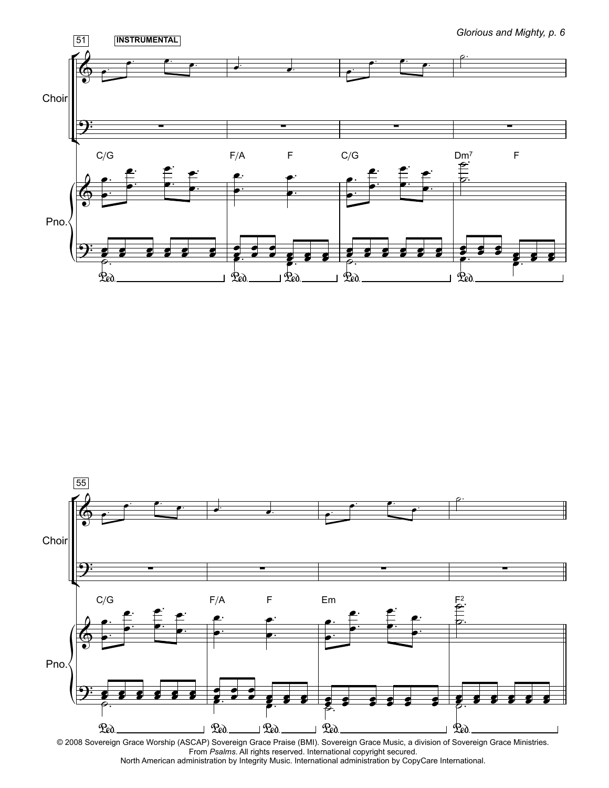



From *Psalms*. All rights reserved. International copyright secured. North American administration by Integrity Music. International administration by CopyCare International.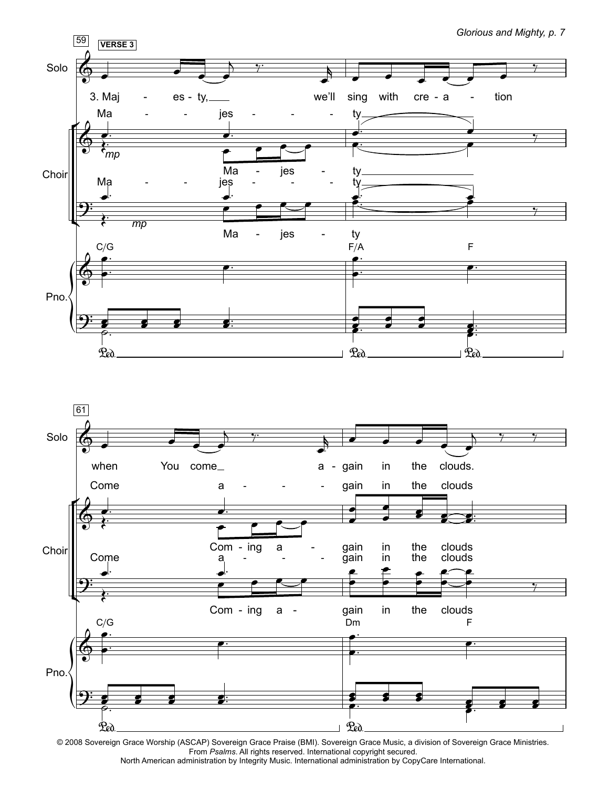

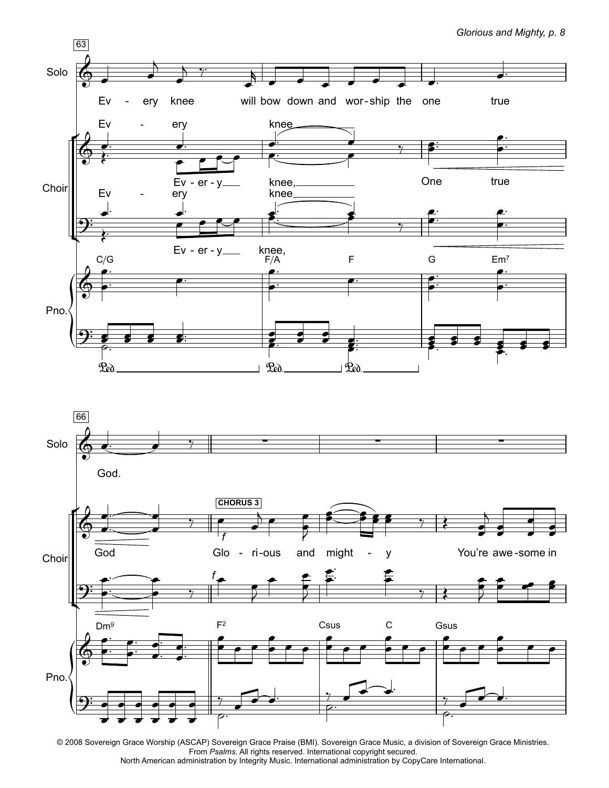

*Glorious and Mighty, p. 8*

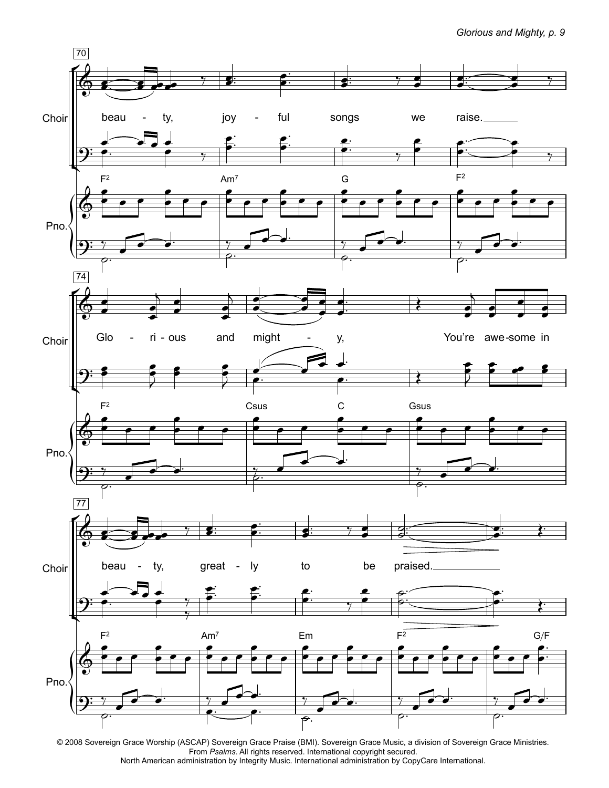*Glorious and Mighty, p. 9*

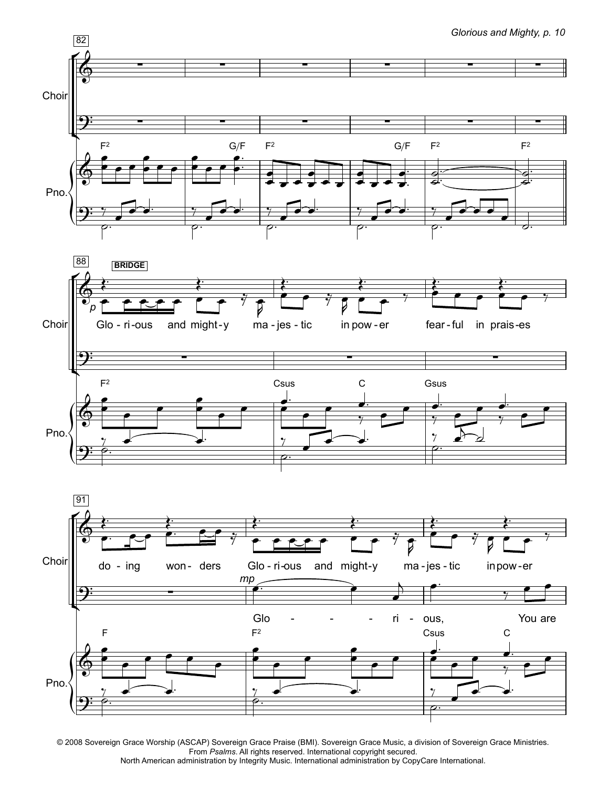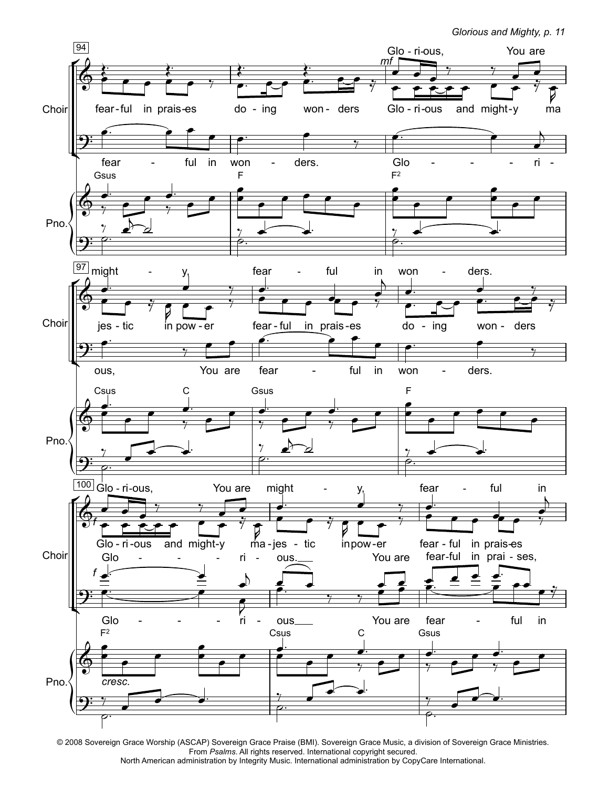

<sup>© 2008</sup> Sovereign Grace Worship (ASCAP) Sovereign Grace Praise (BMI). Sovereign Grace Music, a division of Sovereign Grace Ministries. From *Psalms*. All rights reserved. International copyright secured. North American administration by Integrity Music. International administration by CopyCare International.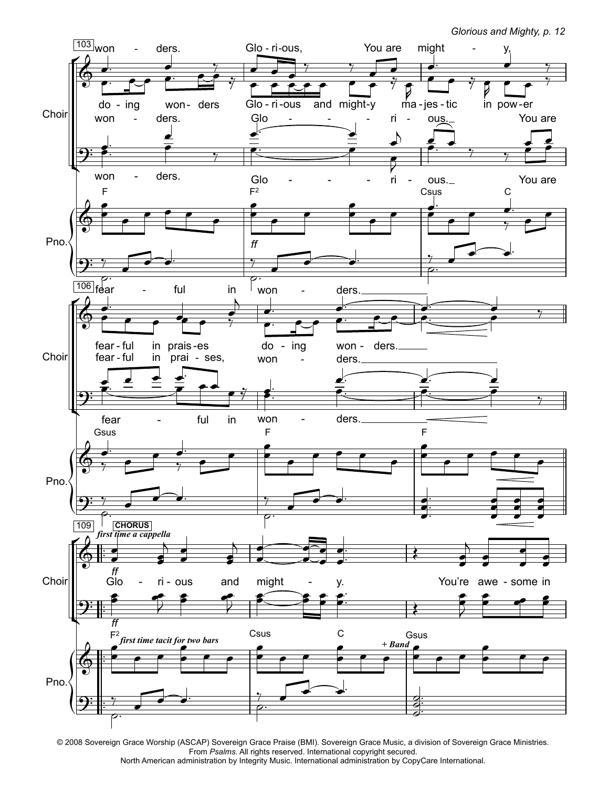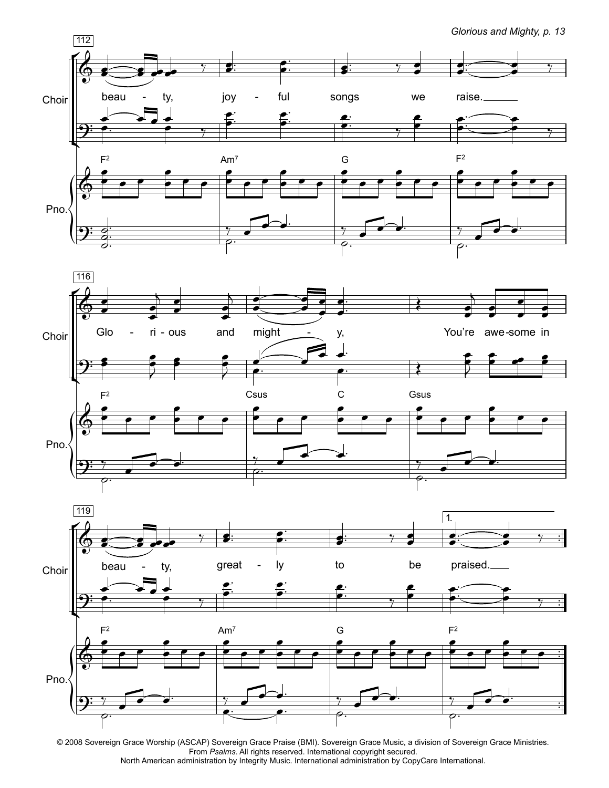